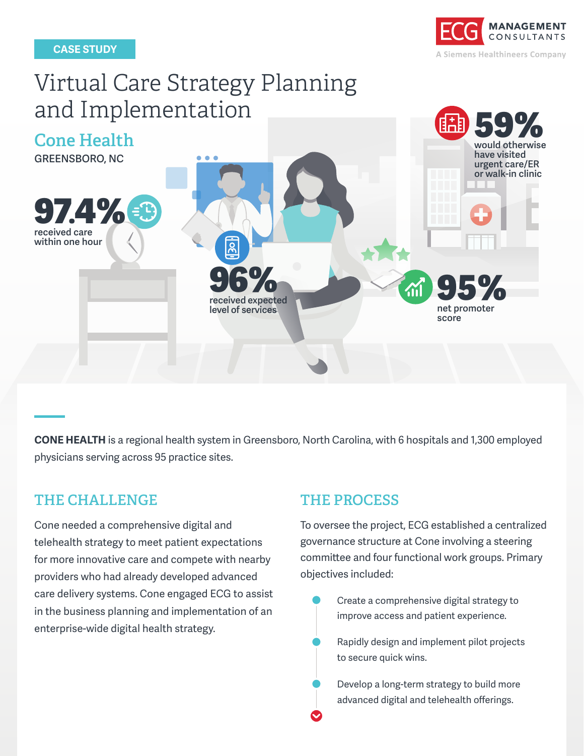

# Virtual Care Strategy Planning and Implementation



**CONE HEALTH** is a regional health system in Greensboro, North Carolina, with 6 hospitals and 1,300 employed physicians serving across 95 practice sites.

### **THE CHALLENGE THE PROCESS**

Cone needed a comprehensive digital and telehealth strategy to meet patient expectations for more innovative care and compete with nearby providers who had already developed advanced care delivery systems. Cone engaged ECG to assist in the business planning and implementation of an enterprise-wide digital health strategy.

To oversee the project, ECG established a centralized governance structure at Cone involving a steering committee and four functional work groups. Primary objectives included:

Create a comprehensive digital strategy to improve access and patient experience.

Rapidly design and implement pilot projects to secure quick wins.

Develop a long-term strategy to build more advanced digital and telehealth offerings.